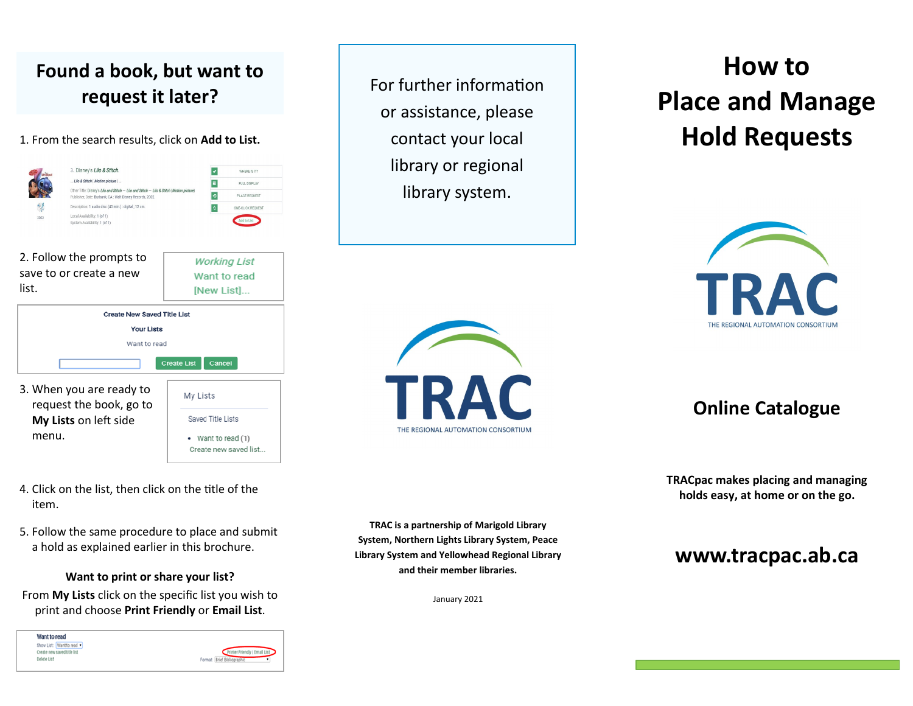### **Found a book, but want to request it later?**

1. From the search results, click on **Add to List.**



- 4. Click on the list, then click on the title of the item.
- 5. Follow the same procedure to place and submit a hold as explained earlier in this brochure.

**Want to print or share your list?**  From **My Lists** click on the specific list you wish to print and choose **Print Friendly** or **Email List**.

Want to read Show List: Want to read \* Printer Friendly | Ema Create new saved title list Delete List Format: Brief Bd

For further information or assistance, please contact your local library or regional library system.

# TRAC THE REGIONAL AUTOMATION CONSORTIUM

# **How to Place and Manage Hold Requests**



**Online Catalogue**

**TRACpac makes placing and managing holds easy, at home or on the go.** 

### **www.tracpac.ab.ca**

**TRAC is a partnership of Marigold Library System, Northern Lights Library System, Peace Library System and Yellowhead Regional Library and their member libraries.**

January 2021